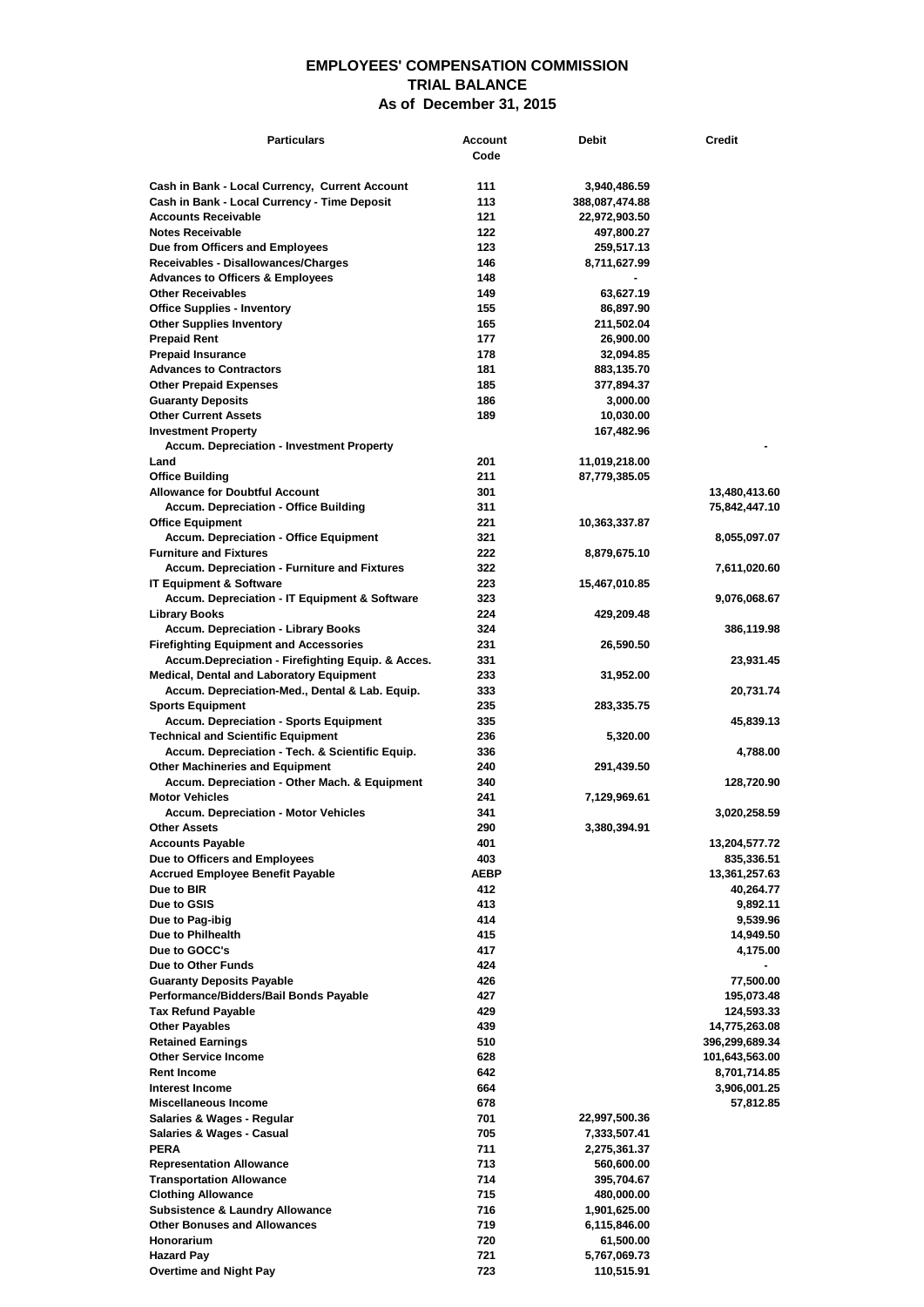## **EMPLOYEES' COMPENSATION COMMISSION TRIAL BALANCE As of December 31, 2015**

| <b>Particulars</b>                                                                          | Account     | <b>Debit</b>                  | <b>Credit</b>               |
|---------------------------------------------------------------------------------------------|-------------|-------------------------------|-----------------------------|
|                                                                                             | Code        |                               |                             |
| Cash in Bank - Local Currency, Current Account                                              | 111         | 3,940,486.59                  |                             |
| Cash in Bank - Local Currency - Time Deposit                                                | 113         | 388,087,474.88                |                             |
| <b>Accounts Receivable</b>                                                                  | 121         | 22,972,903.50                 |                             |
| <b>Notes Receivable</b><br>Due from Officers and Employees                                  | 122<br>123  | 497,800.27<br>259,517.13      |                             |
| Receivables - Disallowances/Charges                                                         | 146         | 8,711,627.99                  |                             |
| <b>Advances to Officers &amp; Employees</b>                                                 | 148         |                               |                             |
| <b>Other Receivables</b>                                                                    | 149         | 63,627.19                     |                             |
| <b>Office Supplies - Inventory</b>                                                          | 155         | 86,897.90                     |                             |
| <b>Other Supplies Inventory</b>                                                             | 165<br>177  | 211,502.04                    |                             |
| <b>Prepaid Rent</b><br><b>Prepaid Insurance</b>                                             | 178         | 26,900.00<br>32,094.85        |                             |
| <b>Advances to Contractors</b>                                                              | 181         | 883,135.70                    |                             |
| <b>Other Prepaid Expenses</b>                                                               | 185         | 377,894.37                    |                             |
| <b>Guaranty Deposits</b>                                                                    | 186         | 3,000.00                      |                             |
| <b>Other Current Assets</b>                                                                 | 189         | 10,030.00                     |                             |
| <b>Investment Property</b><br><b>Accum. Depreciation - Investment Property</b>              |             | 167,482.96                    |                             |
| Land                                                                                        | 201         | 11,019,218.00                 |                             |
| <b>Office Building</b>                                                                      | 211         | 87,779,385.05                 |                             |
| <b>Allowance for Doubtful Account</b>                                                       | 301         |                               | 13,480,413.60               |
| <b>Accum. Depreciation - Office Building</b>                                                | 311         |                               | 75,842,447.10               |
| <b>Office Equipment</b>                                                                     | 221<br>321  | 10,363,337.87                 |                             |
| <b>Accum. Depreciation - Office Equipment</b><br><b>Furniture and Fixtures</b>              | 222         | 8,879,675.10                  | 8,055,097.07                |
| Accum. Depreciation - Furniture and Fixtures                                                | 322         |                               | 7,611,020.60                |
| <b>IT Equipment &amp; Software</b>                                                          | 223         | 15,467,010.85                 |                             |
| Accum. Depreciation - IT Equipment & Software                                               | 323         |                               | 9,076,068.67                |
| Library Books                                                                               | 224         | 429,209.48                    |                             |
| <b>Accum. Depreciation - Library Books</b><br><b>Firefighting Equipment and Accessories</b> | 324<br>231  | 26,590.50                     | 386,119.98                  |
| Accum.Depreciation - Firefighting Equip. & Acces.                                           | 331         |                               | 23,931.45                   |
| <b>Medical, Dental and Laboratory Equipment</b>                                             | 233         | 31,952.00                     |                             |
| Accum. Depreciation-Med., Dental & Lab. Equip.                                              | 333         |                               | 20,731.74                   |
| <b>Sports Equipment</b>                                                                     | 235         | 283,335.75                    |                             |
| <b>Accum. Depreciation - Sports Equipment</b><br><b>Technical and Scientific Equipment</b>  | 335<br>236  | 5,320.00                      | 45,839.13                   |
| Accum. Depreciation - Tech. & Scientific Equip.                                             | 336         |                               | 4,788.00                    |
| <b>Other Machineries and Equipment</b>                                                      | 240         | 291,439.50                    |                             |
| Accum. Depreciation - Other Mach. & Equipment                                               | 340         |                               | 128,720.90                  |
| <b>Motor Vehicles</b>                                                                       | 241         | 7,129,969.61                  |                             |
| <b>Accum. Depreciation - Motor Vehicles</b>                                                 | 341         |                               | 3,020,258.59                |
| <b>Other Assets</b><br><b>Accounts Payable</b>                                              | 290<br>401  | 3,380,394.91                  | 13,204,577.72               |
| Due to Officers and Employees                                                               | 403         |                               | 835,336.51                  |
| <b>Accrued Employee Benefit Payable</b>                                                     | <b>AEBP</b> |                               | 13,361,257.63               |
| Due to BIR                                                                                  | 412         |                               | 40,264.77                   |
| Due to GSIS                                                                                 | 413         |                               | 9,892.11                    |
| Due to Pag-ibig<br>Due to Philhealth                                                        | 414<br>415  |                               | 9,539.96<br>14,949.50       |
| Due to GOCC's                                                                               | 417         |                               | 4,175.00                    |
| Due to Other Funds                                                                          | 424         |                               |                             |
| <b>Guaranty Deposits Payable</b>                                                            | 426         |                               | 77,500.00                   |
| Performance/Bidders/Bail Bonds Payable                                                      | 427         |                               | 195,073.48                  |
| <b>Tax Refund Payable</b><br><b>Other Payables</b>                                          | 429<br>439  |                               | 124,593.33<br>14,775,263.08 |
| <b>Retained Earnings</b>                                                                    | 510         |                               | 396,299,689.34              |
| <b>Other Service Income</b>                                                                 | 628         |                               | 101,643,563.00              |
| <b>Rent Income</b>                                                                          | 642         |                               | 8,701,714.85                |
| Interest Income                                                                             | 664         |                               | 3,906,001.25                |
| Miscellaneous Income                                                                        | 678         |                               | 57,812.85                   |
| Salaries & Wages - Regular<br>Salaries & Wages - Casual                                     | 701<br>705  | 22,997,500.36<br>7,333,507.41 |                             |
| <b>PERA</b>                                                                                 | 711         | 2,275,361.37                  |                             |
| <b>Representation Allowance</b>                                                             | 713         | 560,600.00                    |                             |
| <b>Transportation Allowance</b>                                                             | 714         | 395,704.67                    |                             |
| <b>Clothing Allowance</b>                                                                   | 715         | 480,000.00                    |                             |
| <b>Subsistence &amp; Laundry Allowance</b>                                                  | 716         | 1,901,625.00                  |                             |
| <b>Other Bonuses and Allowances</b><br>Honorarium                                           | 719<br>720  | 6,115,846.00<br>61,500.00     |                             |
| <b>Hazard Pay</b>                                                                           | 721         | 5,767,069.73                  |                             |
| <b>Overtime and Night Pay</b>                                                               | 723         | 110,515.91                    |                             |